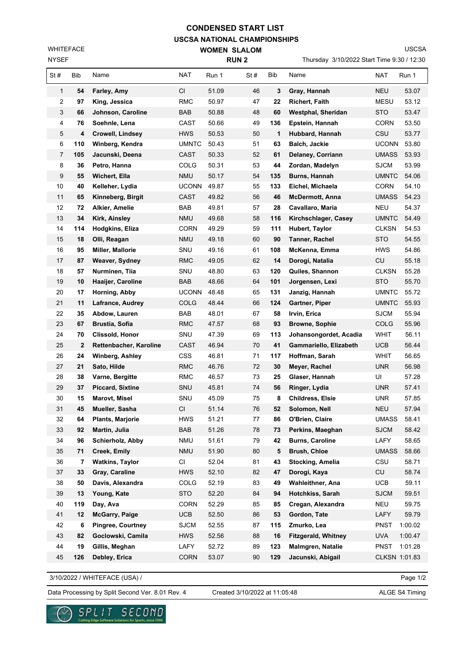## **USCSA NATIONAL CHAMPIONSHIPS CONDENSED START LIST**

**WOMEN SLALOM** 

NYSEF WHITEFACE USCSA

| <b>NYSEF</b>   |     |                         | <b>RUN2</b>  |       |     |     | Thursday 3/10/2022 Start Time 9:30 / 12:30 |               |         |  |
|----------------|-----|-------------------------|--------------|-------|-----|-----|--------------------------------------------|---------------|---------|--|
| St#            | Bib | Name                    | <b>NAT</b>   | Run 1 | St# | Bib | Name                                       | NAT           | Run 1   |  |
| $\mathbf{1}$   | 54  | Farley, Amy             | CI           | 51.09 | 46  | 3   | Gray, Hannah                               | <b>NEU</b>    | 53.07   |  |
| 2              | 97  | King, Jessica           | <b>RMC</b>   | 50.97 | 47  | 22  | <b>Richert, Faith</b>                      | MESU          | 53.12   |  |
| 3              | 66  | Johnson, Caroline       | BAB          | 50.88 | 48  | 60  | Westphal, Sheridan                         | <b>STO</b>    | 53.47   |  |
| 4              | 76  | Soehnle, Lena           | CAST         | 50.66 | 49  | 136 | Epstein, Hannah                            | CORN          | 53.50   |  |
| 5              | 4   | <b>Crowell, Lindsey</b> | <b>HWS</b>   | 50.53 | 50  | 1   | Hubbard, Hannah                            | CSU           | 53.77   |  |
| 6              | 110 | Winberg, Kendra         | <b>UMNTC</b> | 50.43 | 51  | 63  | Balch, Jackie                              | <b>UCONN</b>  | 53.80   |  |
| $\overline{7}$ | 105 | Jacunski, Deena         | CAST         | 50.33 | 52  | 61  | Delaney, Corriann                          | UMASS         | 53.93   |  |
| 8              | 36  | Petro, Hanna            | COLG         | 50.31 | 53  | 44  | Zordan, Madelyn                            | <b>SJCM</b>   | 53.99   |  |
| 9              | 55  | Wichert, Ella           | <b>NMU</b>   | 50.17 | 54  | 135 | Burns, Hannah                              | UMNTC         | 54.06   |  |
| 10             | 40  | Kelleher, Lydia         | <b>UCONN</b> | 49.87 | 55  | 133 | Eichel, Michaela                           | CORN          | 54.10   |  |
| 11             | 65  | Kinneberg, Birgit       | CAST         | 49.82 | 56  | 46  | <b>McDermott, Anna</b>                     | <b>UMASS</b>  | 54.23   |  |
| 12             | 72  | Alkier, Amelie          | BAB          | 49.81 | 57  | 28  | Cavallaro, Maria                           | <b>NEU</b>    | 54.37   |  |
| 13             | 34  | Kirk, Ainsley           | <b>NMU</b>   | 49.68 | 58  | 116 | Kirchschlager, Casey                       | <b>UMNTC</b>  | 54.49   |  |
| 14             | 114 | Hodgkins, Eliza         | <b>CORN</b>  | 49.29 | 59  | 111 | <b>Hubert, Taylor</b>                      | CLKSN         | 54.53   |  |
| 15             | 18  | Olli, Reagan            | <b>NMU</b>   | 49.18 | 60  | 90  | Tanner, Rachel                             | <b>STO</b>    | 54.55   |  |
| 16             | 95  | Miller, Mallorie        | SNU          | 49.16 | 61  | 108 | McKenna, Emma                              | <b>HWS</b>    | 54.86   |  |
| 17             | 87  | Weaver, Sydney          | RMC          | 49.05 | 62  | 14  | Dorogi, Natalia                            | CU            | 55.18   |  |
| 18             | 57  | Nurminen, Tiia          | SNU          | 48.80 | 63  | 120 | Quiles, Shannon                            | <b>CLKSN</b>  | 55.28   |  |
| 19             | 10  | Haaijer, Caroline       | <b>BAB</b>   | 48.66 | 64  | 101 | Jorgensen, Lexi                            | <b>STO</b>    | 55.70   |  |
| 20             | 17  | Horning, Abby           | <b>UCONN</b> | 48.48 | 65  | 131 | Janzig, Hannah                             | <b>UMNTC</b>  | 55.72   |  |
| 21             | 11  | Lafrance, Audrey        | <b>COLG</b>  | 48.44 | 66  | 124 | Gartner, Piper                             | UMNTC         | 55.93   |  |
| 22             | 35  | Abdow, Lauren           | BAB          | 48.01 | 67  | 58  | Irvin, Erica                               | SJCM          | 55.94   |  |
| 23             | 67  | <b>Brustia, Sofia</b>   | RMC          | 47.57 | 68  | 93  | <b>Browne, Sophie</b>                      | COLG          | 55.96   |  |
| 24             | 70  | Clissold, Honor         | SNU          | 47.39 | 69  | 113 | Johansongordet, Acadia                     | WHIT          | 56.11   |  |
| 25             | 2   | Rettenbacher, Karoline  | <b>CAST</b>  | 46.94 | 70  | 41  | Gammariello, Elizabeth                     | UCB.          | 56.44   |  |
| 26             | 24  | <b>Winberg, Ashley</b>  | <b>CSS</b>   | 46.81 | 71  | 117 | Hoffman, Sarah                             | WHIT          | 56.65   |  |
| 27             | 21  | Sato, Hilde             | RMC          | 46.76 | 72  | 30  | Meyer, Rachel                              | UNR           | 56.98   |  |
| 28             | 38  | Varne, Bergitte         | RMC          | 46.57 | 73  | 25  | Glaser, Hannah                             | UI            | 57.28   |  |
| 29             | 37  | <b>Piccard, Sixtine</b> | SNU          | 45.81 | 74  | 56  | Ringer, Lydia                              | <b>UNR</b>    | 57.41   |  |
| 30             | 15  | Marovt, Misel           | SNU          | 45.09 | 75  | 8   | Childress, Elsie                           | <b>UNR</b>    | 57.85   |  |
| 31             | 45  | Mueller, Sasha          | CI           | 51.14 | 76  | 52  | Solomon, Nell                              | <b>NEU</b>    | 57.94   |  |
| 32             | 64  | <b>Plants, Marjorie</b> | <b>HWS</b>   | 51.21 | 77  | 86  | O'Brien, Claire                            | <b>UMASS</b>  | 58.41   |  |
| 33             | 92  | Martin, Julia           | BAB          | 51.26 | 78  | 73  | Perkins, Maeghan                           | <b>SJCM</b>   | 58.42   |  |
| 34             | 96  | Schierholz, Abby        | <b>NMU</b>   | 51.61 | 79  | 42  | <b>Burns, Caroline</b>                     | LAFY          | 58.65   |  |
| 35             | 71  | <b>Creek, Emily</b>     | <b>NMU</b>   | 51.90 | 80  | 5   | <b>Brush, Chloe</b>                        | <b>UMASS</b>  | 58.66   |  |
| 36             | 7   | <b>Watkins, Taylor</b>  | CI           | 52.04 | 81  | 43  | Stocking, Amelia                           | CSU           | 58.71   |  |
| 37             | 33  | Gray, Caraline          | <b>HWS</b>   | 52.10 | 82  | 47  | Dorogi, Kaya                               | CU            | 58.74   |  |
| 38             | 50  | Davis, Alexandra        | COLG         | 52.19 | 83  | 49  | Wahleithner, Ana                           | <b>UCB</b>    | 59.11   |  |
| 39             | 13  | Young, Kate             | <b>STO</b>   | 52.20 | 84  | 94  | Hotchkiss, Sarah                           | <b>SJCM</b>   | 59.51   |  |
| 40             | 119 | Day, Ava                | <b>CORN</b>  | 52.29 | 85  | 85  | Cregan, Alexandra                          | <b>NEU</b>    | 59.75   |  |
| 41             | 12  | <b>McGarry, Paige</b>   | <b>UCB</b>   | 52.50 | 86  | 53  | Gordon, Tate                               | LAFY          | 59.79   |  |
| 42             | 6   | Pingree, Courtney       | <b>SJCM</b>  | 52.55 | 87  | 115 | Zmurko, Lea                                | PNST          | 1:00.02 |  |
| 43             | 82  | Goclowski, Camila       | <b>HWS</b>   | 52.56 | 88  | 16  | <b>Fitzgerald, Whitney</b>                 | <b>UVA</b>    | 1:00.47 |  |
| 44             | 19  | Gillis, Meghan          | LAFY         | 52.72 | 89  | 123 | Malmgren, Natalie                          | <b>PNST</b>   | 1:01.28 |  |
| 45             | 126 | Debley, Erica           | <b>CORN</b>  | 53.07 | 90  | 129 | Jacunski, Abigail                          | CLKSN 1:01.83 |         |  |

3/10/2022 / WHITEFACE (USA) /

Page 1/2

Data Processing by Split Second Ver. 8.01 Rev. 4 Created 3/10/2022 at 11:05:48 ALGE S4 Timing

Created 3/10/2022 at 11:05:48